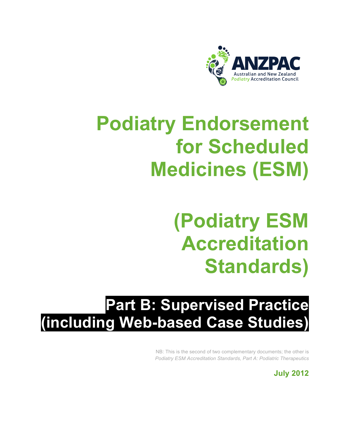

# **Podiatry Endorsement for Scheduled Medicines (ESM)**

# **(Podiatry ESM Accreditation Standards)**

# **Part B: Supervised Practice (including Web-based Case Studies)**

NB: This is the second of two complementary documents; the other is *Podiatry ESM Accreditation Standards, Part A: Podiatric Therapeutics*

**July 2012**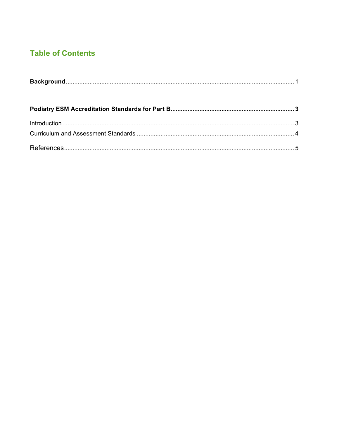# **Table of Contents**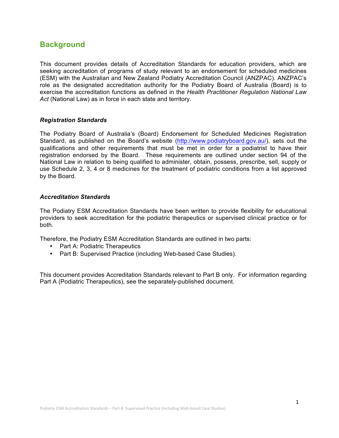### **Background**

This document provides details of Accreditation Standards for education providers, which are seeking accreditation of programs of study relevant to an endorsement for scheduled medicines (ESM) with the Australian and New Zealand Podiatry Accreditation Council (ANZPAC). ANZPAC's role as the designated accreditation authority for the Podiatry Board of Australia (Board) is to exercise the accreditation functions as defined in the *Health Practitioner Regulation National Law Act* (National Law) as in force in each state and territory.

#### *Registration Standards*

The Podiatry Board of Australia's (Board) Endorsement for Scheduled Medicines Registration Standard, as published on the Board's website (http://www.podiatryboard.gov.au/), sets out the qualifications and other requirements that must be met in order for a podiatrist to have their registration endorsed by the Board. These requirements are outlined under section 94 of the National Law in relation to being qualified to administer, obtain, possess, prescribe, sell, supply or use Schedule 2, 3, 4 or 8 medicines for the treatment of podiatric conditions from a list approved by the Board.

#### *Accreditation Standards*

The Podiatry ESM Accreditation Standards have been written to provide flexibility for educational providers to seek accreditation for the podiatric therapeutics or supervised clinical practice or for both.

Therefore, the Podiatry ESM Accreditation Standards are outlined in two parts:

- Part A: Podiatric Therapeutics
- Part B: Supervised Practice (including Web-based Case Studies).

This document provides Accreditation Standards relevant to Part B only. For information regarding Part A (Podiatric Therapeutics), see the separately-published document.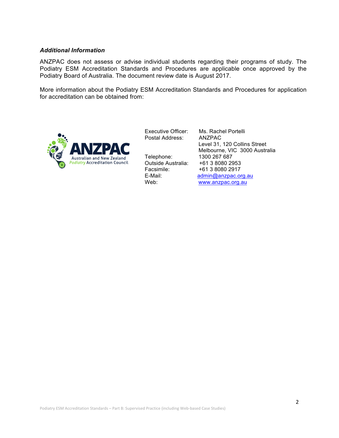#### *Additional Information*

ANZPAC does not assess or advise individual students regarding their programs of study. The Podiatry ESM Accreditation Standards and Procedures are applicable once approved by the Podiatry Board of Australia. The document review date is August 2017.

More information about the Podiatry ESM Accreditation Standards and Procedures for application for accreditation can be obtained from:



Executive Officer: Ms. Rachel Portelli Postal Address: ANZPAC

Telephone: 1300 267 687<br>Outside Australia: +61 3 8080 2953 Outside Australia: Facsimile: +61 3 8080 2917

 Level 31, 120 Collins Street Melbourne, VIC 3000 Australia E-Mail: admin@anzpac.org.au Web: www.anzpac.org.au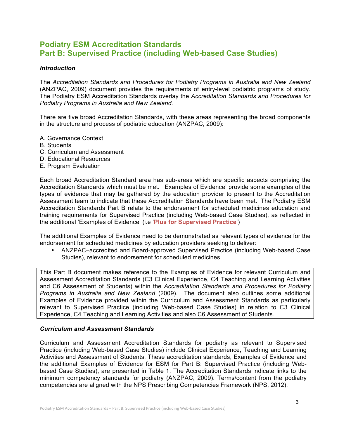## **Podiatry ESM Accreditation Standards Part B: Supervised Practice (including Web-based Case Studies)**

#### *Introduction*

The *Accreditation Standards and Procedures for Podiatry Programs in Australia and New Zealand* (ANZPAC, 2009) document provides the requirements of entry-level podiatric programs of study. The Podiatry ESM Accreditation Standards overlay the *Accreditation Standards and Procedures for Podiatry Programs in Australia and New Zealand.*

There are five broad Accreditation Standards, with these areas representing the broad components in the structure and process of podiatric education (ANZPAC, 2009):

- A. Governance Context
- B. Students
- C. Curriculum and Assessment
- D. Educational Resources
- E. Program Evaluation

Each broad Accreditation Standard area has sub-areas which are specific aspects comprising the Accreditation Standards which must be met. 'Examples of Evidence' provide some examples of the types of evidence that may be gathered by the education provider to present to the Accreditation Assessment team to indicate that these Accreditation Standards have been met. The Podiatry ESM Accreditation Standards Part B relate to the endorsement for scheduled medicines education and training requirements for Supervised Practice (including Web-based Case Studies), as reflected in the additional 'Examples of Evidence' (i.e '**Plus for Supervised Practice**')

The additional Examples of Evidence need to be demonstrated as relevant types of evidence for the endorsement for scheduled medicines by education providers seeking to deliver:

• ANZPAC–accredited and Board-approved Supervised Practice (including Web-based Case Studies), relevant to endorsement for scheduled medicines.

This Part B document makes reference to the Examples of Evidence for relevant Curriculum and Assessment Accreditation Standards (C3 Clinical Experience, C4 Teaching and Learning Activities and C6 Assessment of Students) within the *Accreditation Standards and Procedures for Podiatry Programs in Australia and New Zealand* (2009). The document also outlines some additional Examples of Evidence provided within the Curriculum and Assessment Standards as particularly relevant to Supervised Practice (including Web-based Case Studies) in relation to C3 Clinical Experience, C4 Teaching and Learning Activities and also C6 Assessment of Students.

#### *Curriculum and Assessment Standards*

Curriculum and Assessment Accreditation Standards for podiatry as relevant to Supervised Practice (including Web-based Case Studies) include Clinical Experience, Teaching and Learning Activities and Assessment of Students. These accreditation standards, Examples of Evidence and the additional Examples of Evidence for ESM for Part B: Supervised Practice (including Webbased Case Studies), are presented in Table 1. The Accreditation Standards indicate links to the minimum competency standards for podiatry (ANZPAC, 2009). Terms/content from the podiatry competencies are aligned with the NPS Prescribing Competencies Framework (NPS, 2012).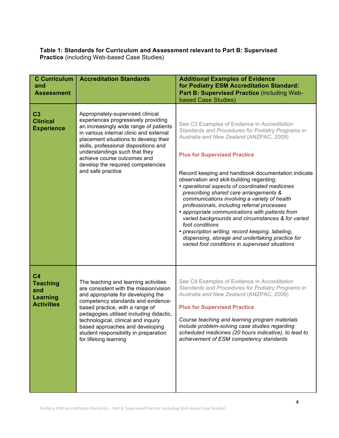#### **Table 1: Standards for Curriculum and Assessment relevant to Part B: Supervised Practice** (including Web-based Case Studies)

| <b>C</b> Curriculum<br>and<br><b>Assessment</b>                                  | <b>Accreditation Standards</b>                                                                                                                                                                                                                                                                                                                                                       | <b>Additional Examples of Evidence</b><br>for Podiatry ESM Accreditation Standard:<br>Part B: Supervised Practice (including Web-<br>based Case Studies)                                                                                                                                                                                                                                                                                                                                                                                                                                                                                                                                                                                                                  |
|----------------------------------------------------------------------------------|--------------------------------------------------------------------------------------------------------------------------------------------------------------------------------------------------------------------------------------------------------------------------------------------------------------------------------------------------------------------------------------|---------------------------------------------------------------------------------------------------------------------------------------------------------------------------------------------------------------------------------------------------------------------------------------------------------------------------------------------------------------------------------------------------------------------------------------------------------------------------------------------------------------------------------------------------------------------------------------------------------------------------------------------------------------------------------------------------------------------------------------------------------------------------|
| C <sub>3</sub><br><b>Clinical</b><br><b>Experience</b>                           | Appropriately-supervised clinical<br>experiences progressively providing<br>an increasingly wide range of patients<br>in various internal clinic and external<br>placement situations to develop their<br>skills, professional dispositions and<br>understandings such that they<br>achieve course outcomes and<br>develop the required competencies<br>and safe practice            | See C3 Examples of Evidence in Accreditation<br>Standards and Procedures for Podiatry Programs in<br>Australia and New Zealand (ANZPAC, 2009)<br><b>Plus for Supervised Practice</b><br>Record keeping and handbook documentation indicate<br>observation and skill-building regarding:<br>• operational aspects of coordinated medicines<br>prescribing shared care arrangements &<br>communications involving a variety of health<br>professionals, including referral processes<br>• appropriate communications with patients from<br>varied backgrounds and circumstances & for varied<br>foot conditions<br>• prescription writing, record keeping, labeling,<br>dispensing, storage and undertaking practice for<br>varied foot conditions in supervised situations |
| C <sub>4</sub><br><b>Teaching</b><br>and<br><b>Learning</b><br><b>Activities</b> | The teaching and learning activities<br>are consistent with the mission/vision<br>and appropriate for developing the<br>competency standards and evidence-<br>based practice, with a range of<br>pedagogies utilised including didactic,<br>technological, clinical and inquiry<br>based approaches and developing<br>student responsibility in preparation<br>for lifelong learning | See C4 Examples of Evidence in Accreditation<br>Standards and Procedures for Podiatry Programs in<br>Australia and New Zealand (ANZPAC, 2009)<br><b>Plus for Supervised Practice</b><br>Course teaching and learning program materials<br>include problem-solving case studies regarding<br>scheduled medicines (20 hours indicative), to lead to<br>achievement of ESM competency standards                                                                                                                                                                                                                                                                                                                                                                              |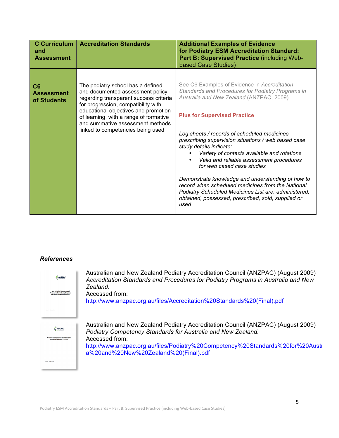| <b>C</b> Curriculum<br>and<br><b>Assessment</b>    | <b>Accreditation Standards</b>                                                                                                                                                                                                                                                                                    | <b>Additional Examples of Evidence</b><br>for Podiatry ESM Accreditation Standard:<br>Part B: Supervised Practice (including Web-<br>based Case Studies)                                                                                                                                                                                                                                                                                                                                                                                                                                                                                                                       |
|----------------------------------------------------|-------------------------------------------------------------------------------------------------------------------------------------------------------------------------------------------------------------------------------------------------------------------------------------------------------------------|--------------------------------------------------------------------------------------------------------------------------------------------------------------------------------------------------------------------------------------------------------------------------------------------------------------------------------------------------------------------------------------------------------------------------------------------------------------------------------------------------------------------------------------------------------------------------------------------------------------------------------------------------------------------------------|
| C <sub>6</sub><br><b>Assessment</b><br>of Students | The podiatry school has a defined<br>and documented assessment policy<br>regarding transparent success criteria<br>for progression, compatibility with<br>educational objectives and promotion<br>of learning, with a range of formative<br>and summative assessment methods<br>linked to competencies being used | See C6 Examples of Evidence in Accreditation<br>Standards and Procedures for Podiatry Programs in<br>Australia and New Zealand (ANZPAC, 2009)<br><b>Plus for Supervised Practice</b><br>Log sheets / records of scheduled medicines<br>prescribing supervision situations / web based case<br>study details indicate:<br>Variety of contexts available and rotations<br>Valid and reliable assessment procedures<br>for web cased case studies<br>Demonstrate knowledge and understanding of how to<br>record when scheduled medicines from the National<br>Podiatry Scheduled Medicines List are: administered,<br>obtained, possessed, prescribed, sold, supplied or<br>used |

### *References*

| <b>ANZPAC</b>                                                               | Australian and New Zealand Podiatry Accreditation Council (ANZPAC) (August 2009)<br>Accreditation Standards and Procedures for Podiatry Programs in Australia and New |
|-----------------------------------------------------------------------------|-----------------------------------------------------------------------------------------------------------------------------------------------------------------------|
|                                                                             | Zealand.                                                                                                                                                              |
| <b>Accorditation Standards an</b>                                           | Accessed from:                                                                                                                                                        |
|                                                                             | http://www.anzpac.org.au/files/Accreditation%20Standards%20(Final).pdf                                                                                                |
|                                                                             |                                                                                                                                                                       |
|                                                                             |                                                                                                                                                                       |
|                                                                             | Australian and New Zealand Podiatry Accreditation Council (ANZPAC) (August 2009)                                                                                      |
| ANZPAC                                                                      | Podiatry Competency Standards for Australia and New Zealand.                                                                                                          |
| <b>Podiatry Competency Standards for</b><br><b>Lustralia and New Zealar</b> | Accessed from:                                                                                                                                                        |
|                                                                             | http://www.anzpac.org.au/files/Podiatry%20Competency%20Standards%20for%20Austi                                                                                        |
|                                                                             | a%20and%20New%20Zealand%20(Final).pdf                                                                                                                                 |
|                                                                             |                                                                                                                                                                       |
|                                                                             |                                                                                                                                                                       |